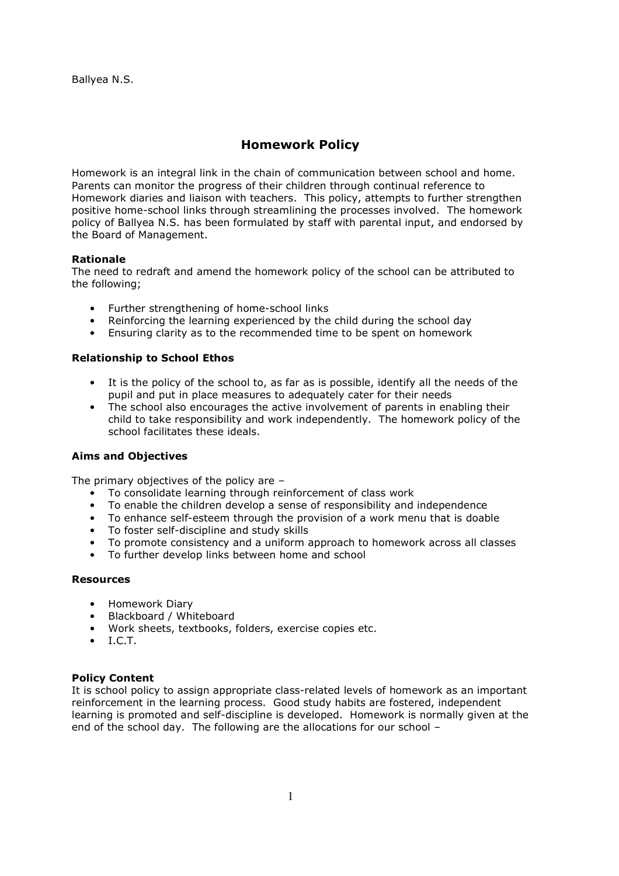Ballyea N.S.

# **Homework Policy**

Homework is an integral link in the chain of communication between school and home. Parents can monitor the progress of their children through continual reference to Homework diaries and liaison with teachers. This policy, attempts to further strengthen positive home-school links through streamlining the processes involved. The homework policy of Ballyea N.S. has been formulated by staff with parental input, and endorsed by the Board of Management.

## **Rationale**

The need to redraft and amend the homework policy of the school can be attributed to the following;

- Further strengthening of home-school links
- Reinforcing the learning experienced by the child during the school day
- Ensuring clarity as to the recommended time to be spent on homework

# **Relationship to School Ethos**

- It is the policy of the school to, as far as is possible, identify all the needs of the pupil and put in place measures to adequately cater for their needs
- The school also encourages the active involvement of parents in enabling their child to take responsibility and work independently. The homework policy of the school facilitates these ideals.

## **Aims and Objectives**

The primary objectives of the policy are –

- To consolidate learning through reinforcement of class work
- To enable the children develop a sense of responsibility and independence
- To enhance self-esteem through the provision of a work menu that is doable
- To foster self-discipline and study skills
- To promote consistency and a uniform approach to homework across all classes
- To further develop links between home and school

#### **Resources**

- Homework Diary
- Blackboard / Whiteboard
- Work sheets, textbooks, folders, exercise copies etc.
- I.C.T.

## **Policy Content**

It is school policy to assign appropriate class-related levels of homework as an important reinforcement in the learning process. Good study habits are fostered, independent learning is promoted and self-discipline is developed. Homework is normally given at the end of the school day. The following are the allocations for our school –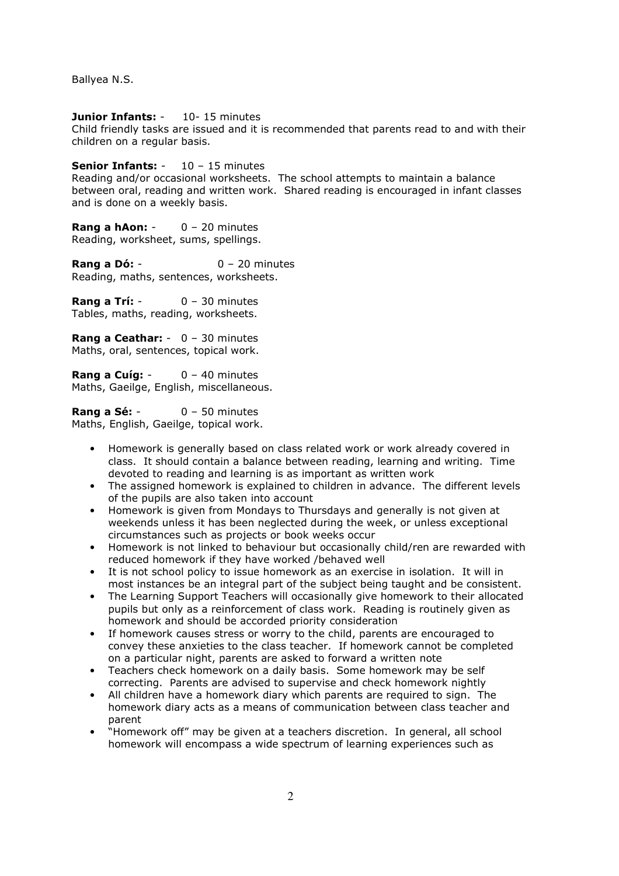Ballyea N.S.

**Junior Infants: - 10-15 minutes** Child friendly tasks are issued and it is recommended that parents read to and with their children on a regular basis.

**Senior Infants:** - 10 - 15 minutes

Reading and/or occasional worksheets. The school attempts to maintain a balance between oral, reading and written work. Shared reading is encouraged in infant classes and is done on a weekly basis.

**Rang a hAon:** - 0 – 20 minutes Reading, worksheet, sums, spellings.

**Rang a Dó:** - 0 – 20 minutes Reading, maths, sentences, worksheets.

**Rang a Trí:** - 0 – 30 minutes Tables, maths, reading, worksheets.

**Rang a Ceathar:** - 0 – 30 minutes Maths, oral, sentences, topical work.

**Rang a Cuíg:** - 0 – 40 minutes Maths, Gaeilge, English, miscellaneous.

**Rang a Sé:** - 0 – 50 minutes Maths, English, Gaeilge, topical work.

- Homework is generally based on class related work or work already covered in class. It should contain a balance between reading, learning and writing. Time devoted to reading and learning is as important as written work
- The assigned homework is explained to children in advance. The different levels of the pupils are also taken into account
- Homework is given from Mondays to Thursdays and generally is not given at weekends unless it has been neglected during the week, or unless exceptional circumstances such as projects or book weeks occur
- Homework is not linked to behaviour but occasionally child/ren are rewarded with reduced homework if they have worked /behaved well
- It is not school policy to issue homework as an exercise in isolation. It will in most instances be an integral part of the subject being taught and be consistent.
- The Learning Support Teachers will occasionally give homework to their allocated pupils but only as a reinforcement of class work. Reading is routinely given as homework and should be accorded priority consideration
- If homework causes stress or worry to the child, parents are encouraged to convey these anxieties to the class teacher. If homework cannot be completed on a particular night, parents are asked to forward a written note
- Teachers check homework on a daily basis. Some homework may be self correcting. Parents are advised to supervise and check homework nightly
- All children have a homework diary which parents are required to sign. The homework diary acts as a means of communication between class teacher and parent
- "Homework off" may be given at a teachers discretion. In general, all school homework will encompass a wide spectrum of learning experiences such as